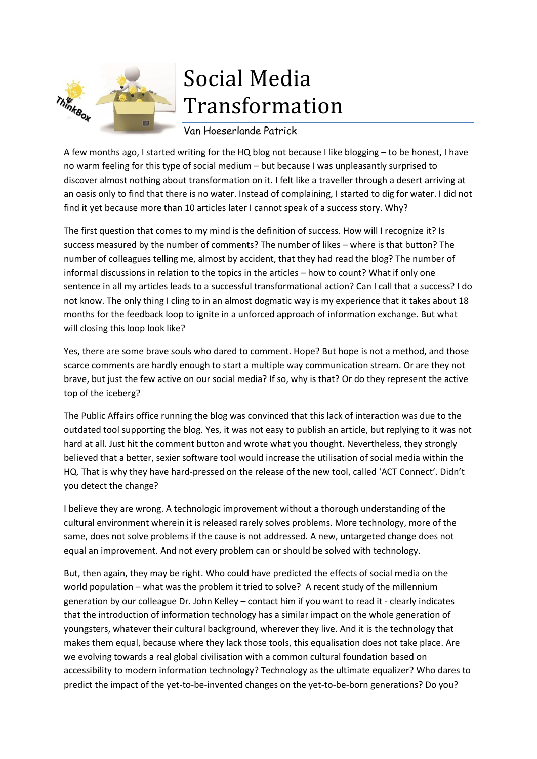

## Social Media Transformation

Van Hoeserlande Patrick

A few months ago, I started writing for the HQ blog not because I like blogging – to be honest, I have no warm feeling for this type of social medium – but because I was unpleasantly surprised to discover almost nothing about transformation on it. I felt like a traveller through a desert arriving at an oasis only to find that there is no water. Instead of complaining, I started to dig for water. I did not find it yet because more than 10 articles later I cannot speak of a success story. Why?

The first question that comes to my mind is the definition of success. How will I recognize it? Is success measured by the number of comments? The number of likes – where is that button? The number of colleagues telling me, almost by accident, that they had read the blog? The number of informal discussions in relation to the topics in the articles – how to count? What if only one sentence in all my articles leads to a successful transformational action? Can I call that a success? I do not know. The only thing I cling to in an almost dogmatic way is my experience that it takes about 18 months for the feedback loop to ignite in a unforced approach of information exchange. But what will closing this loop look like?

Yes, there are some brave souls who dared to comment. Hope? But hope is not a method, and those scarce comments are hardly enough to start a multiple way communication stream. Or are they not brave, but just the few active on our social media? If so, why is that? Or do they represent the active top of the iceberg?

The Public Affairs office running the blog was convinced that this lack of interaction was due to the outdated tool supporting the blog. Yes, it was not easy to publish an article, but replying to it was not hard at all. Just hit the comment button and wrote what you thought. Nevertheless, they strongly believed that a better, sexier software tool would increase the utilisation of social media within the HQ. That is why they have hard-pressed on the release of the new tool, called 'ACT Connect'. Didn't you detect the change?

I believe they are wrong. A technologic improvement without a thorough understanding of the cultural environment wherein it is released rarely solves problems. More technology, more of the same, does not solve problems if the cause is not addressed. A new, untargeted change does not equal an improvement. And not every problem can or should be solved with technology.

But, then again, they may be right. Who could have predicted the effects of social media on the world population – what was the problem it tried to solve? A recent study of the millennium generation by our colleague Dr. John Kelley – contact him if you want to read it - clearly indicates that the introduction of information technology has a similar impact on the whole generation of youngsters, whatever their cultural background, wherever they live. And it is the technology that makes them equal, because where they lack those tools, this equalisation does not take place. Are we evolving towards a real global civilisation with a common cultural foundation based on accessibility to modern information technology? Technology as the ultimate equalizer? Who dares to predict the impact of the yet-to-be-invented changes on the yet-to-be-born generations? Do you?